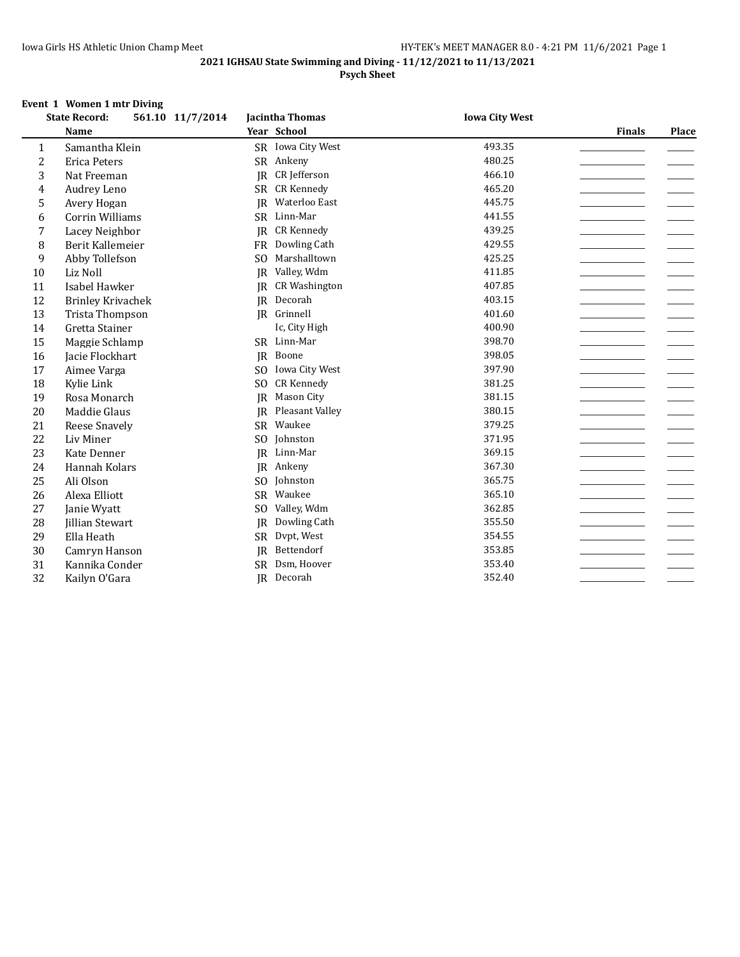#### **2021 IGHSAU State Swimming and Diving - 11/12/2021 to 11/13/2021 Psych Sheet**

#### **Event 1 Women 1 mtr Diving**

|                | <b>State Record:</b><br>561.10 11/7/2014 |                 | Jacintha Thomas      | <b>Iowa City West</b> |               |              |
|----------------|------------------------------------------|-----------------|----------------------|-----------------------|---------------|--------------|
|                | <b>Name</b>                              |                 | Year School          |                       | <b>Finals</b> | <b>Place</b> |
| 1              | Samantha Klein                           |                 | SR Iowa City West    | 493.35                |               |              |
| $\overline{c}$ | <b>Erica Peters</b>                      |                 | SR Ankeny            | 480.25                |               |              |
| 3              | Nat Freeman                              | IR              | CR Jefferson         | 466.10                |               |              |
| 4              | Audrey Leno                              | <b>SR</b>       | <b>CR Kennedy</b>    | 465.20                |               |              |
| 5              | Avery Hogan                              | <b>IR</b>       | Waterloo East        | 445.75                |               |              |
| 6              | Corrin Williams                          | <b>SR</b>       | Linn-Mar             | 441.55                |               |              |
| 7              | Lacey Neighbor                           | IR              | <b>CR Kennedy</b>    | 439.25                |               |              |
| 8              | Berit Kallemeier                         |                 | FR Dowling Cath      | 429.55                |               |              |
| 9              | Abby Tollefson                           | S <sub>O</sub>  | Marshalltown         | 425.25                |               |              |
| 10             | Liz Noll                                 | <b>IR</b>       | Valley, Wdm          | 411.85                |               |              |
| 11             | Isabel Hawker                            | IR              | <b>CR Washington</b> | 407.85                |               |              |
| 12             | <b>Brinley Krivachek</b>                 | IR              | Decorah              | 403.15                |               |              |
| 13             | <b>Trista Thompson</b>                   |                 | JR Grinnell          | 401.60                |               |              |
| 14             | Gretta Stainer                           |                 | Ic, City High        | 400.90                |               |              |
| 15             | Maggie Schlamp                           |                 | SR Linn-Mar          | 398.70                |               |              |
| 16             | Jacie Flockhart                          | IR              | Boone                | 398.05                |               |              |
| 17             | Aimee Varga                              | SO.             | Iowa City West       | 397.90                |               |              |
| 18             | Kylie Link                               | SO <sub>1</sub> | <b>CR Kennedy</b>    | 381.25                |               |              |
| 19             | Rosa Monarch                             | <b>IR</b>       | Mason City           | 381.15                |               |              |
| 20             | Maddie Glaus                             | IR              | Pleasant Valley      | 380.15                |               |              |
| 21             | Reese Snavely                            | <b>SR</b>       | Waukee               | 379.25                |               |              |
| 22             | Liv Miner                                | SO.             | Johnston             | 371.95                |               |              |
| 23             | Kate Denner                              | IR              | Linn-Mar             | 369.15                |               |              |
| 24             | Hannah Kolars                            | <b>IR</b>       | Ankeny               | 367.30                |               |              |
| 25             | Ali Olson                                | S <sub>O</sub>  | Johnston             | 365.75                |               |              |
| 26             | Alexa Elliott                            | <b>SR</b>       | Waukee               | 365.10                |               |              |
| 27             | Janie Wyatt                              | SO.             | Valley, Wdm          | 362.85                |               |              |
| 28             | Jillian Stewart                          | IR              | Dowling Cath         | 355.50                |               |              |
| 29             | Ella Heath                               | SR              | Dvpt, West           | 354.55                |               |              |
| 30             | Camryn Hanson                            | IR              | Bettendorf           | 353.85                |               |              |
| 31             | Kannika Conder                           | <b>SR</b>       | Dsm, Hoover          | 353.40                |               |              |
| 32             | Kailyn O'Gara                            |                 | JR Decorah           | 352.40                |               |              |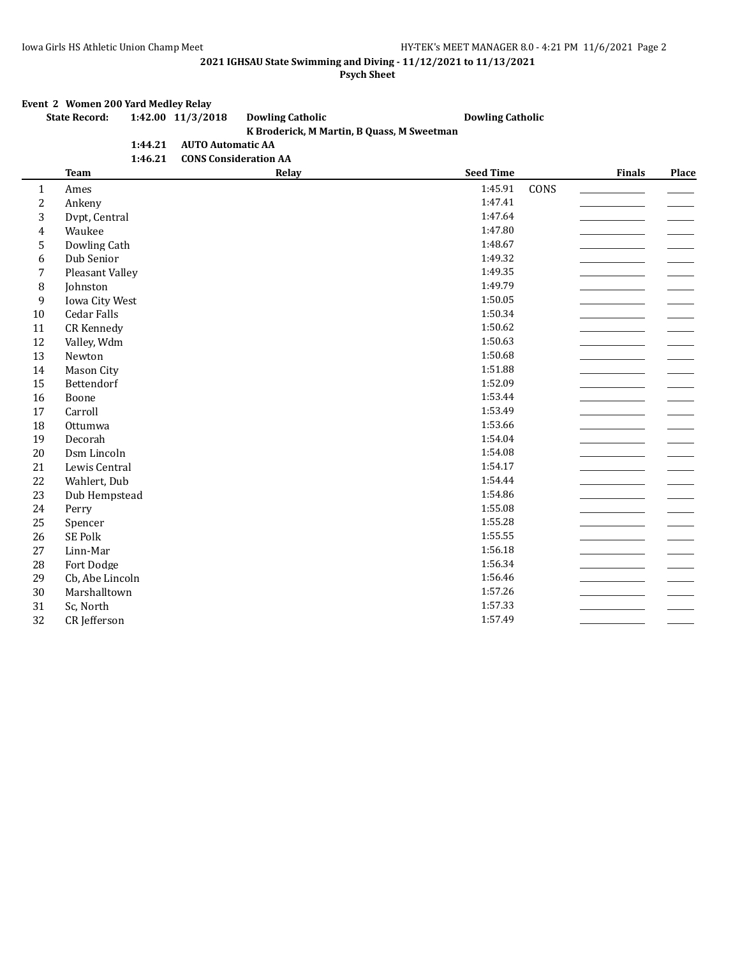**Psych Sheet**

# **Event 2 Women 200 Yard Medley Relay**<br>**State Record:** 1:42.00 11/3/20

#### **State Record: 1:42.00 11/3/2018 Dowling Catholic Dowling Catholic K Broderick, M Martin, B Quass, M Sweetman 1:44.21 AUTO Automatic AA**

|         | --- - - - ---- - ----- - - - - - |
|---------|----------------------------------|
| 1:46.21 | <b>CONS Consideration AA</b>     |

|                | <b>Team</b>        | Relay | <b>Seed Time</b> |      | <b>Finals</b> | Place |
|----------------|--------------------|-------|------------------|------|---------------|-------|
| $\mathbf{1}$   | Ames               |       | 1:45.91          | CONS |               |       |
| $\overline{c}$ | Ankeny             |       | 1:47.41          |      |               |       |
| 3              | Dvpt, Central      |       | 1:47.64          |      |               |       |
| 4              | Waukee             |       | 1:47.80          |      |               |       |
| 5              | Dowling Cath       |       | 1:48.67          |      |               |       |
| 6              | Dub Senior         |       | 1:49.32          |      |               |       |
| 7              | Pleasant Valley    |       | 1:49.35          |      |               |       |
| 8              | Johnston           |       | 1:49.79          |      |               |       |
| 9              | Iowa City West     |       | 1:50.05          |      |               |       |
| 10             | <b>Cedar Falls</b> |       | 1:50.34          |      |               |       |
| 11             | CR Kennedy         |       | 1:50.62          |      |               |       |
| 12             | Valley, Wdm        |       | 1:50.63          |      |               |       |
| 13             | Newton             |       | 1:50.68          |      |               |       |
| 14             | Mason City         |       | 1:51.88          |      |               |       |
| 15             | Bettendorf         |       | 1:52.09          |      |               |       |
| 16             | Boone              |       | 1:53.44          |      |               |       |
| 17             | Carroll            |       | 1:53.49          |      |               |       |
| 18             | Ottumwa            |       | 1:53.66          |      |               |       |
| 19             | Decorah            |       | 1:54.04          |      |               |       |
| 20             | Dsm Lincoln        |       | 1:54.08          |      |               |       |
| 21             | Lewis Central      |       | 1:54.17          |      |               |       |
| 22             | Wahlert, Dub       |       | 1:54.44          |      |               |       |
| 23             | Dub Hempstead      |       | 1:54.86          |      |               |       |
| 24             | Perry              |       | 1:55.08          |      |               |       |
| 25             | Spencer            |       | 1:55.28          |      |               |       |
| 26             | SE Polk            |       | 1:55.55          |      |               |       |
| 27             | Linn-Mar           |       | 1:56.18          |      |               |       |
| 28             | Fort Dodge         |       | 1:56.34          |      |               |       |
| 29             | Cb, Abe Lincoln    |       | 1:56.46          |      |               |       |
| 30             | Marshalltown       |       | 1:57.26          |      |               |       |
| 31             | Sc, North          |       | 1:57.33          |      |               |       |
| 32             | CR Jefferson       |       | 1:57.49          |      |               |       |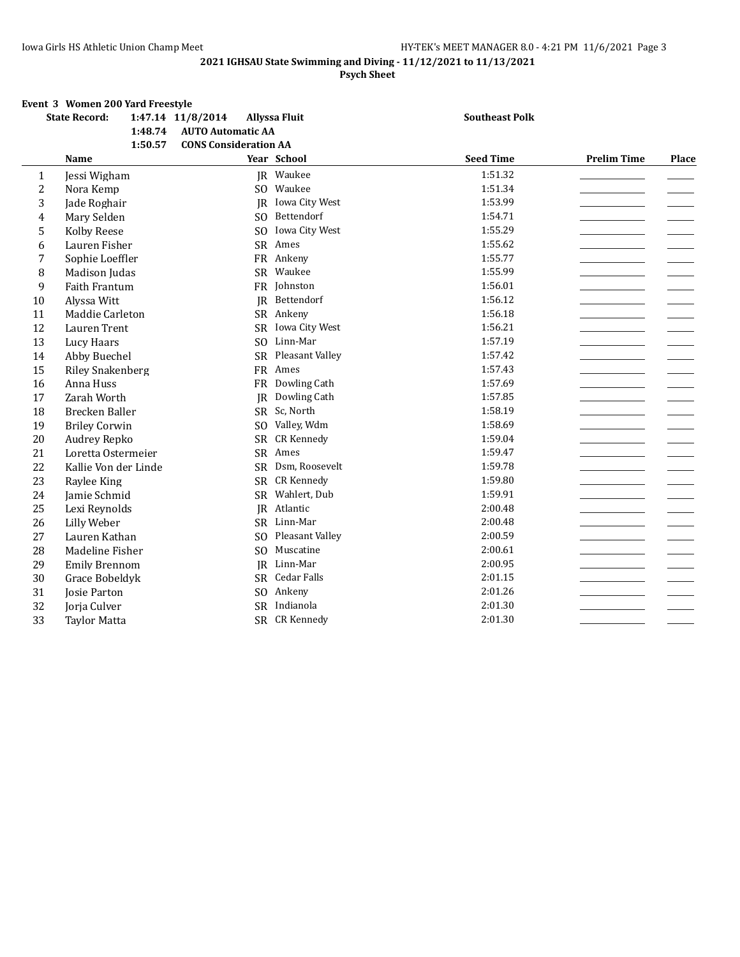#### **Psych Sheet**

## **Event 3 Women 200 Yard Freestyle<br>State Record: 1:47 14 11/8**

|                | <b>State Record:</b>    | 1:47.14 11/8/2014            | <b>Allyssa Fluit</b> | <b>Southeast Polk</b> |                    |       |
|----------------|-------------------------|------------------------------|----------------------|-----------------------|--------------------|-------|
|                | 1:48.74                 | <b>AUTO Automatic AA</b>     |                      |                       |                    |       |
|                | 1:50.57                 | <b>CONS Consideration AA</b> |                      |                       |                    |       |
|                | Name                    |                              | Year School          | <b>Seed Time</b>      | <b>Prelim Time</b> | Place |
| $\mathbf{1}$   | Jessi Wigham            |                              | JR Waukee            | 1:51.32               |                    |       |
| $\overline{c}$ | Nora Kemp               | SO.                          | Waukee               | 1:51.34               |                    |       |
| 3              | Jade Roghair            | <b>IR</b>                    | Iowa City West       | 1:53.99               |                    |       |
| $\overline{4}$ | Mary Selden             | S <sub>O</sub>               | Bettendorf           | 1:54.71               |                    |       |
| 5              | Kolby Reese             | S <sub>O</sub>               | Iowa City West       | 1:55.29               |                    |       |
| 6              | Lauren Fisher           |                              | SR Ames              | 1:55.62               |                    |       |
| 7              | Sophie Loeffler         |                              | FR Ankeny            | 1:55.77               |                    |       |
| 8              | Madison Judas           |                              | SR Waukee            | 1:55.99               |                    |       |
| 9              | Faith Frantum           |                              | FR Johnston          | 1:56.01               |                    |       |
| 10             | Alyssa Witt             | <b>IR</b>                    | Bettendorf           | 1:56.12               |                    |       |
| 11             | Maddie Carleton         |                              | SR Ankeny            | 1:56.18               |                    |       |
| 12             | Lauren Trent            |                              | SR Iowa City West    | 1:56.21               |                    |       |
| 13             | Lucy Haars              | S <sub>O</sub>               | Linn-Mar             | 1:57.19               |                    |       |
| 14             | Abby Buechel            | <b>SR</b>                    | Pleasant Valley      | 1:57.42               |                    |       |
| 15             | <b>Riley Snakenberg</b> |                              | FR Ames              | 1:57.43               |                    |       |
| 16             | Anna Huss               | <b>FR</b>                    | Dowling Cath         | 1:57.69               |                    |       |
| 17             | Zarah Worth             | JR                           | Dowling Cath         | 1:57.85               |                    |       |
| 18             | Brecken Baller          | <b>SR</b>                    | Sc, North            | 1:58.19               |                    |       |
| 19             | <b>Briley Corwin</b>    | S <sub>O</sub>               | Valley, Wdm          | 1:58.69               |                    |       |
| 20             | Audrey Repko            | <b>SR</b>                    | <b>CR Kennedy</b>    | 1:59.04               |                    |       |
| 21             | Loretta Ostermeier      |                              | SR Ames              | 1:59.47               |                    |       |
| 22             | Kallie Von der Linde    | <b>SR</b>                    | Dsm, Roosevelt       | 1:59.78               |                    |       |
| 23             | Raylee King             | SR                           | <b>CR Kennedy</b>    | 1:59.80               |                    |       |
| 24             | Jamie Schmid            | SR                           | Wahlert, Dub         | 1:59.91               |                    |       |
| 25             | Lexi Reynolds           | <b>IR</b>                    | Atlantic             | 2:00.48               |                    |       |
| 26             | Lilly Weber             |                              | SR Linn-Mar          | 2:00.48               |                    |       |
| 27             | Lauren Kathan           | SO.                          | Pleasant Valley      | 2:00.59               |                    |       |
| 28             | Madeline Fisher         | S <sub>O</sub>               | Muscatine            | 2:00.61               |                    |       |
| 29             | <b>Emily Brennom</b>    |                              | JR Linn-Mar          | 2:00.95               |                    |       |
| 30             | Grace Bobeldyk          |                              | SR Cedar Falls       | 2:01.15               |                    |       |
| 31             | Josie Parton            | SO.                          | Ankeny               | 2:01.26               |                    |       |
| 32             | Jorja Culver            |                              | SR Indianola         | 2:01.30               |                    |       |
| 33             | <b>Taylor Matta</b>     |                              | SR CR Kennedy        | 2:01.30               |                    |       |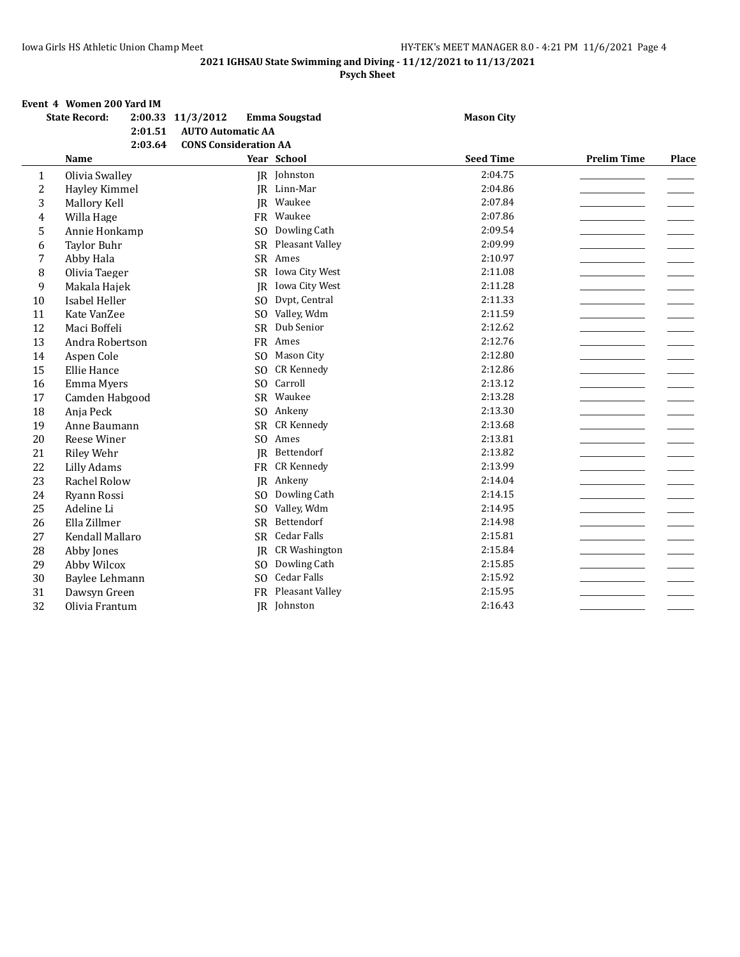### **Psych Sheet**

#### **Event 4 Women 200 Yard IM**

|                | <b>State Record:</b> | 2:01.51 | 2:00.33 11/3/2012<br><b>AUTO Automatic AA</b> | <b>Emma Sougstad</b> | <b>Mason City</b> |                    |       |
|----------------|----------------------|---------|-----------------------------------------------|----------------------|-------------------|--------------------|-------|
|                | <b>Name</b>          | 2:03.64 | <b>CONS Consideration AA</b>                  | Year School          | <b>Seed Time</b>  | <b>Prelim Time</b> | Place |
| 1              | Olivia Swalley       |         |                                               | JR Johnston          | 2:04.75           |                    |       |
| $\overline{c}$ | Hayley Kimmel        |         |                                               | JR Linn-Mar          | 2:04.86           |                    |       |
| 3              | Mallory Kell         |         |                                               | JR Waukee            | 2:07.84           |                    |       |
| $\overline{4}$ | Willa Hage           |         | <b>FR</b>                                     | Waukee               | 2:07.86           |                    |       |
| 5              | Annie Honkamp        |         | S <sub>O</sub>                                | Dowling Cath         | 2:09.54           |                    |       |
| 6              | <b>Taylor Buhr</b>   |         | <b>SR</b>                                     | Pleasant Valley      | 2:09.99           |                    |       |
| 7              | Abby Hala            |         |                                               | SR Ames              | 2:10.97           |                    |       |
| 8              | Olivia Taeger        |         | SR                                            | Iowa City West       | 2:11.08           |                    |       |
| 9              | Makala Hajek         |         | IR                                            | Iowa City West       | 2:11.28           |                    |       |
| $10\,$         | Isabel Heller        |         | S <sub>0</sub>                                | Dvpt, Central        | 2:11.33           |                    |       |
| 11             | Kate VanZee          |         | S <sub>O</sub>                                | Valley, Wdm          | 2:11.59           |                    |       |
| 12             | Maci Boffeli         |         | <b>SR</b>                                     | Dub Senior           | 2:12.62           |                    |       |
| 13             | Andra Robertson      |         | FR                                            | Ames                 | 2:12.76           |                    |       |
| 14             | Aspen Cole           |         | SO <sub>1</sub>                               | Mason City           | 2:12.80           |                    |       |
| 15             | Ellie Hance          |         | S <sub>0</sub>                                | <b>CR Kennedy</b>    | 2:12.86           |                    |       |
| 16             | Emma Myers           |         | S <sub>O</sub>                                | Carroll              | 2:13.12           |                    |       |
| 17             | Camden Habgood       |         | SR                                            | Waukee               | 2:13.28           |                    |       |
| 18             | Anja Peck            |         | SO.                                           | Ankeny               | 2:13.30           |                    |       |
| 19             | Anne Baumann         |         | SR                                            | <b>CR Kennedy</b>    | 2:13.68           |                    |       |
| 20             | Reese Winer          |         | S <sub>O</sub>                                | Ames                 | 2:13.81           |                    |       |
| 21             | Riley Wehr           |         | IR                                            | Bettendorf           | 2:13.82           |                    |       |
| 22             | <b>Lilly Adams</b>   |         |                                               | FR CR Kennedy        | 2:13.99           |                    |       |
| 23             | Rachel Rolow         |         | IR                                            | Ankeny               | 2:14.04           |                    |       |
| 24             | Ryann Rossi          |         | S <sub>0</sub>                                | Dowling Cath         | 2:14.15           |                    |       |
| 25             | Adeline Li           |         | S <sub>O</sub>                                | Valley, Wdm          | 2:14.95           |                    |       |
| 26             | Ella Zillmer         |         | SR                                            | Bettendorf           | 2:14.98           |                    |       |
| 27             | Kendall Mallaro      |         |                                               | SR Cedar Falls       | 2:15.81           |                    |       |
| 28             | Abby Jones           |         | IR                                            | <b>CR Washington</b> | 2:15.84           |                    |       |
| 29             | Abby Wilcox          |         | S <sub>O</sub>                                | Dowling Cath         | 2:15.85           |                    |       |
| 30             | Baylee Lehmann       |         | S <sub>O</sub>                                | <b>Cedar Falls</b>   | 2:15.92           |                    |       |
| 31             | Dawsyn Green         |         | <b>FR</b>                                     | Pleasant Valley      | 2:15.95           |                    |       |
| 32             | Olivia Frantum       |         |                                               | JR Johnston          | 2:16.43           |                    |       |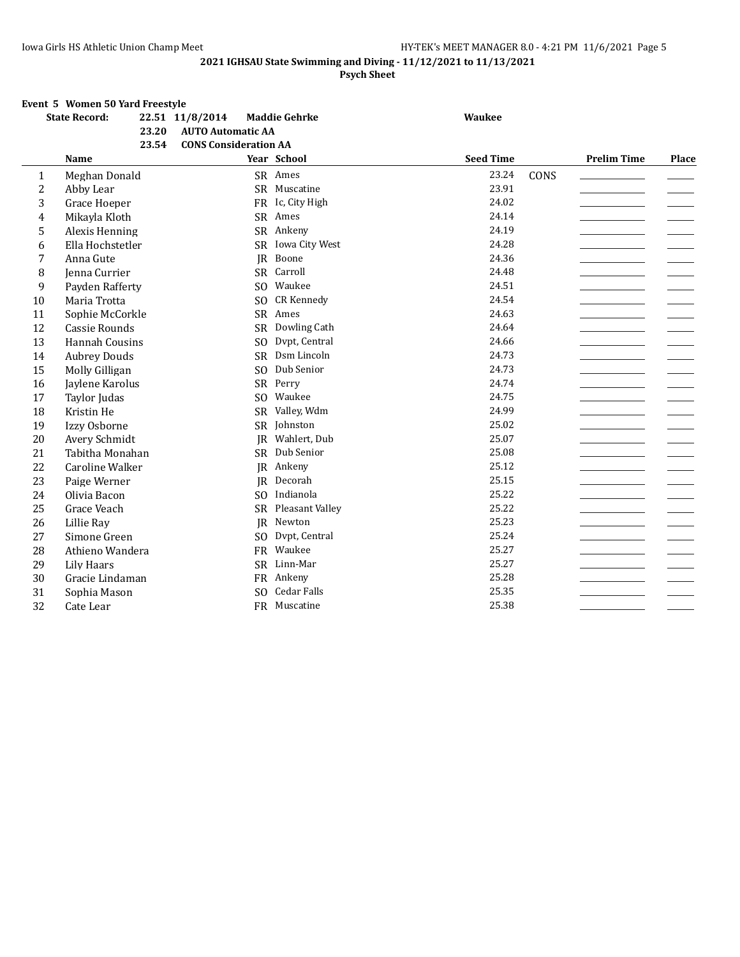#### **Psych Sheet**

#### **Event 5 Women 50 Yard Freestyle**

|                | <b>State Record:</b>   | 22.51 11/8/2014                       | <b>Maddie Gehrke</b> | <b>Waukee</b>    |      |                    |       |
|----------------|------------------------|---------------------------------------|----------------------|------------------|------|--------------------|-------|
|                |                        | <b>AUTO Automatic AA</b><br>23.20     |                      |                  |      |                    |       |
|                |                        | 23.54<br><b>CONS Consideration AA</b> |                      |                  |      |                    |       |
|                | <b>Name</b>            |                                       | Year School          | <b>Seed Time</b> |      | <b>Prelim Time</b> | Place |
| 1              | Meghan Donald          |                                       | SR Ames              | 23.24            | CONS |                    |       |
| $\overline{c}$ | Abby Lear              |                                       | SR Muscatine         | 23.91            |      |                    |       |
| 3              | Grace Hoeper           |                                       | FR Ic. City High     | 24.02            |      |                    |       |
| $\overline{4}$ | Mikayla Kloth          |                                       | SR Ames              | 24.14            |      |                    |       |
| 5              | Alexis Henning         |                                       | SR Ankeny            | 24.19            |      |                    |       |
| 6              | Ella Hochstetler       |                                       | SR Iowa City West    | 24.28            |      |                    |       |
| 7              | Anna Gute              | IR                                    | Boone                | 24.36            |      |                    |       |
| 8              | Jenna Currier          |                                       | SR Carroll           | 24.48            |      |                    |       |
| 9              | Payden Rafferty        | S <sub>O</sub>                        | Waukee               | 24.51            |      |                    |       |
| 10             | Maria Trotta           | S <sub>O</sub>                        | CR Kennedy           | 24.54            |      |                    |       |
| 11             | Sophie McCorkle        | <b>SR</b>                             | Ames                 | 24.63            |      |                    |       |
| 12             | Cassie Rounds          | <b>SR</b>                             | Dowling Cath         | 24.64            |      |                    |       |
| 13             | Hannah Cousins         | S <sub>O</sub>                        | Dvpt, Central        | 24.66            |      |                    |       |
| 14             | <b>Aubrey Douds</b>    | <b>SR</b>                             | Dsm Lincoln          | 24.73            |      |                    |       |
| 15             | Molly Gilligan         | S <sub>0</sub>                        | Dub Senior           | 24.73            |      |                    |       |
| 16             | Jaylene Karolus        | SR                                    | Perry                | 24.74            |      |                    |       |
| 17             | Taylor Judas           | S <sub>O</sub>                        | Waukee               | 24.75            |      |                    |       |
| 18             | Kristin He             |                                       | SR Valley, Wdm       | 24.99            |      |                    |       |
| 19             | Izzy Osborne           | SR                                    | Johnston             | 25.02            |      |                    |       |
| 20             | Avery Schmidt          | IR                                    | Wahlert, Dub         | 25.07            |      |                    |       |
| 21             | Tabitha Monahan        | <b>SR</b>                             | Dub Senior           | 25.08            |      |                    |       |
| 22             | <b>Caroline Walker</b> | JR                                    | Ankeny               | 25.12            |      |                    |       |
| 23             | Paige Werner           | <b>IR</b>                             | Decorah              | 25.15            |      |                    |       |
| 24             | Olivia Bacon           | S <sub>O</sub>                        | Indianola            | 25.22            |      |                    |       |
| 25             | Grace Veach            |                                       | SR Pleasant Valley   | 25.22            |      |                    |       |
| 26             | Lillie Ray             | <b>IR</b>                             | Newton               | 25.23            |      |                    |       |
| 27             | Simone Green           | S <sub>O</sub>                        | Dvpt, Central        | 25.24            |      |                    |       |
| 28             | Athieno Wandera        |                                       | FR Waukee            | 25.27            |      |                    |       |
| 29             | Lily Haars             |                                       | SR Linn-Mar          | 25.27            |      |                    |       |
| 30             | Gracie Lindaman        |                                       | FR Ankeny            | 25.28            |      |                    |       |
| 31             | Sophia Mason           | S <sub>O</sub>                        | Cedar Falls          | 25.35            |      |                    |       |
| 32             | Cate Lear              |                                       | FR Muscatine         | 25.38            |      |                    |       |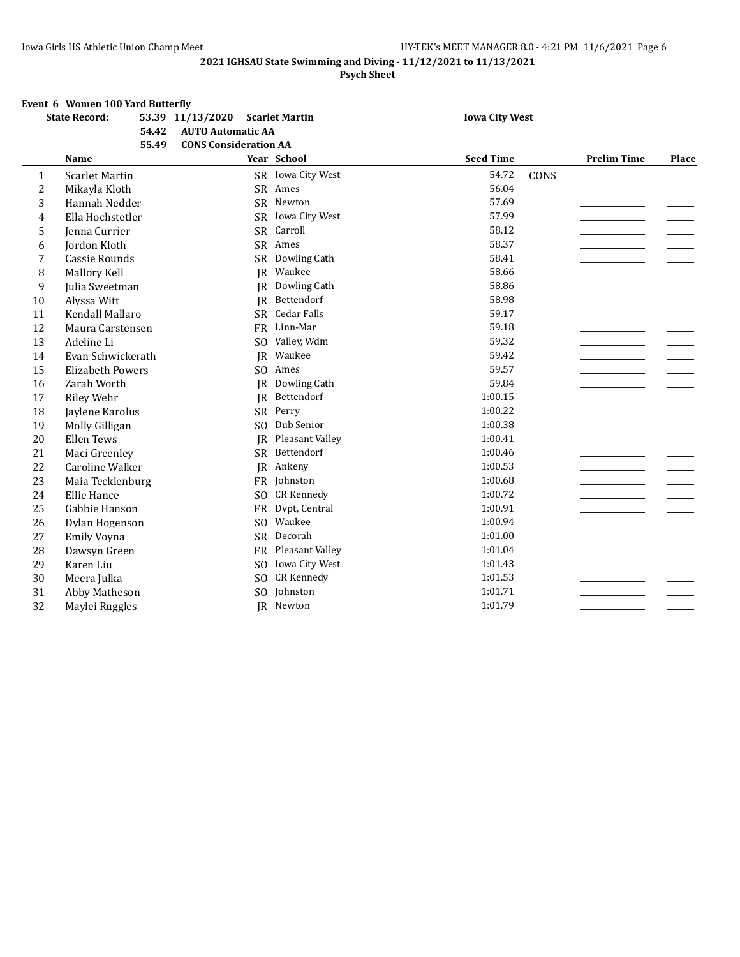**Psych Sheet**

## **Event 6 Women 100 Yard Butterfly**<br>**Example 12.20 11.43**

|                | Event o women fou faid butterily<br><b>State Record:</b> |       | 53.39 11/13/2020 Scarlet Martin |                |                    | <b>Iowa City West</b> |      |                    |       |
|----------------|----------------------------------------------------------|-------|---------------------------------|----------------|--------------------|-----------------------|------|--------------------|-------|
|                |                                                          | 54.42 | <b>AUTO Automatic AA</b>        |                |                    |                       |      |                    |       |
|                |                                                          | 55.49 | <b>CONS Consideration AA</b>    |                |                    |                       |      |                    |       |
|                | Name                                                     |       |                                 |                | Year School        | <b>Seed Time</b>      |      | <b>Prelim Time</b> | Place |
| $\mathbf{1}$   | <b>Scarlet Martin</b>                                    |       |                                 |                | SR Iowa City West  | 54.72                 | CONS |                    |       |
| $\overline{c}$ | Mikayla Kloth                                            |       |                                 |                | SR Ames            | 56.04                 |      |                    |       |
| 3              | Hannah Nedder                                            |       |                                 |                | SR Newton          | 57.69                 |      |                    |       |
| $\overline{4}$ | Ella Hochstetler                                         |       |                                 | <b>SR</b>      | Iowa City West     | 57.99                 |      |                    |       |
| 5              | Jenna Currier                                            |       |                                 | SR             | Carroll            | 58.12                 |      |                    |       |
| 6              | Jordon Kloth                                             |       |                                 |                | SR Ames            | 58.37                 |      |                    |       |
| 7              | <b>Cassie Rounds</b>                                     |       |                                 | <b>SR</b>      | Dowling Cath       | 58.41                 |      |                    |       |
| 8              | Mallory Kell                                             |       |                                 | IR             | Waukee             | 58.66                 |      |                    |       |
| 9              | Julia Sweetman                                           |       |                                 | IR             | Dowling Cath       | 58.86                 |      |                    |       |
| 10             | Alyssa Witt                                              |       |                                 | <b>IR</b>      | Bettendorf         | 58.98                 |      |                    |       |
| 11             | Kendall Mallaro                                          |       |                                 | <b>SR</b>      | Cedar Falls        | 59.17                 |      |                    |       |
| 12             | Maura Carstensen                                         |       |                                 |                | FR Linn-Mar        | 59.18                 |      |                    |       |
| 13             | Adeline Li                                               |       |                                 | S <sub>O</sub> | Valley, Wdm        | 59.32                 |      |                    |       |
| 14             | Evan Schwickerath                                        |       |                                 | JR             | Waukee             | 59.42                 |      |                    |       |
| 15             | <b>Elizabeth Powers</b>                                  |       |                                 | S <sub>O</sub> | Ames               | 59.57                 |      |                    |       |
| 16             | Zarah Worth                                              |       |                                 | JR             | Dowling Cath       | 59.84                 |      |                    |       |
| 17             | Riley Wehr                                               |       |                                 | <b>IR</b>      | Bettendorf         | 1:00.15               |      |                    |       |
| 18             | Jaylene Karolus                                          |       |                                 |                | SR Perry           | 1:00.22               |      |                    |       |
| 19             | Molly Gilligan                                           |       |                                 | S <sub>O</sub> | Dub Senior         | 1:00.38               |      |                    |       |
| 20             | Ellen Tews                                               |       |                                 | <b>IR</b>      | Pleasant Valley    | 1:00.41               |      |                    |       |
| 21             | Maci Greenley                                            |       |                                 |                | SR Bettendorf      | 1:00.46               |      |                    |       |
| 22             | Caroline Walker                                          |       |                                 | IR             | Ankeny             | 1:00.53               |      |                    |       |
| 23             | Maia Tecklenburg                                         |       |                                 | <b>FR</b>      | Johnston           | 1:00.68               |      |                    |       |
| 24             | Ellie Hance                                              |       |                                 | S <sub>O</sub> | <b>CR Kennedy</b>  | 1:00.72               |      |                    |       |
| 25             | Gabbie Hanson                                            |       |                                 | <b>FR</b>      | Dvpt, Central      | 1:00.91               |      |                    |       |
| 26             | Dylan Hogenson                                           |       |                                 | S <sub>O</sub> | Waukee             | 1:00.94               |      |                    |       |
| 27             | <b>Emily Voyna</b>                                       |       |                                 |                | SR Decorah         | 1:01.00               |      |                    |       |
| 28             | Dawsyn Green                                             |       |                                 |                | FR Pleasant Valley | 1:01.04               |      |                    |       |
| 29             | Karen Liu                                                |       |                                 | S <sub>O</sub> | Iowa City West     | 1:01.43               |      |                    |       |
| 30             | Meera Julka                                              |       |                                 | S <sub>O</sub> | <b>CR Kennedy</b>  | 1:01.53               |      |                    |       |
| 31             | Abby Matheson                                            |       |                                 | S <sub>O</sub> | Johnston           | 1:01.71               |      |                    |       |
| 32             | Maylei Ruggles                                           |       |                                 |                | JR Newton          | 1:01.79               |      |                    |       |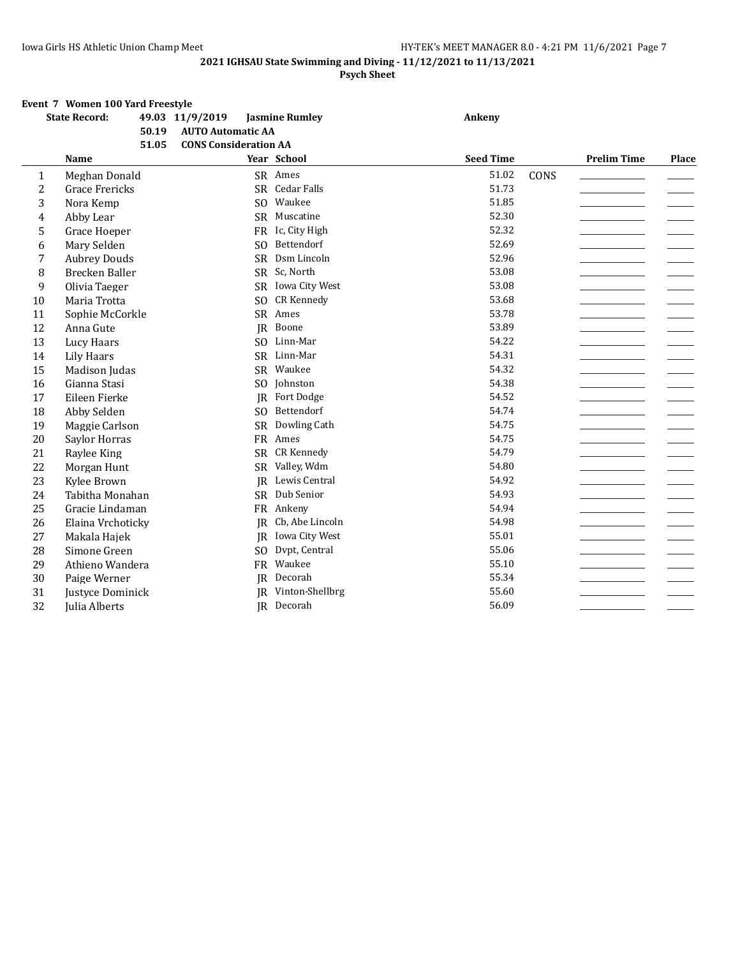#### **Psych Sheet**

#### **Event 7 Women 100 Yard Freestyle**

|                | <b>State Record:</b>  |       | 49.03 11/9/2019              | <b>Jasmine Rumley</b> | Ankeny           |      |                    |       |
|----------------|-----------------------|-------|------------------------------|-----------------------|------------------|------|--------------------|-------|
|                |                       | 50.19 | <b>AUTO Automatic AA</b>     |                       |                  |      |                    |       |
|                |                       | 51.05 | <b>CONS Consideration AA</b> |                       |                  |      |                    |       |
|                | Name                  |       |                              | Year School           | <b>Seed Time</b> |      | <b>Prelim Time</b> | Place |
| 1              | Meghan Donald         |       |                              | SR Ames               | 51.02            | CONS |                    |       |
| 2              | <b>Grace Frericks</b> |       |                              | SR Cedar Falls        | 51.73            |      |                    |       |
| 3              | Nora Kemp             |       | SO.                          | Waukee                | 51.85            |      |                    |       |
| $\overline{4}$ | Abby Lear             |       |                              | SR Muscatine          | 52.30            |      |                    |       |
| 5              | Grace Hoeper          |       | <b>FR</b>                    | Ic, City High         | 52.32            |      |                    |       |
| 6              | Mary Selden           |       | SO.                          | Bettendorf            | 52.69            |      |                    |       |
| 7              | <b>Aubrey Douds</b>   |       | <b>SR</b>                    | Dsm Lincoln           | 52.96            |      |                    |       |
| 8              | Brecken Baller        |       | SR                           | Sc, North             | 53.08            |      |                    |       |
| 9              | Olivia Taeger         |       | SR                           | Iowa City West        | 53.08            |      |                    |       |
| 10             | Maria Trotta          |       | S <sub>O</sub>               | <b>CR Kennedy</b>     | 53.68            |      |                    |       |
| 11             | Sophie McCorkle       |       | <b>SR</b>                    | Ames                  | 53.78            |      |                    |       |
| 12             | Anna Gute             |       | <b>IR</b>                    | Boone                 | 53.89            |      |                    |       |
| 13             | Lucy Haars            |       | S <sub>O</sub>               | Linn-Mar              | 54.22            |      |                    |       |
| 14             | Lily Haars            |       |                              | SR Linn-Mar           | 54.31            |      |                    |       |
| 15             | Madison Judas         |       |                              | SR Waukee             | 54.32            |      |                    |       |
| 16             | Gianna Stasi          |       | S <sub>O</sub>               | Johnston              | 54.38            |      |                    |       |
| 17             | Eileen Fierke         |       | IR                           | Fort Dodge            | 54.52            |      |                    |       |
| 18             | Abby Selden           |       | SO.                          | Bettendorf            | 54.74            |      |                    |       |
| 19             | Maggie Carlson        |       | <b>SR</b>                    | Dowling Cath          | 54.75            |      |                    |       |
| 20             | Saylor Horras         |       | <b>FR</b>                    | Ames                  | 54.75            |      |                    |       |
| 21             | Raylee King           |       | <b>SR</b>                    | <b>CR Kennedy</b>     | 54.79            |      |                    |       |
| 22             | Morgan Hunt           |       | <b>SR</b>                    | Valley, Wdm           | 54.80            |      |                    |       |
| 23             | Kylee Brown           |       | <b>IR</b>                    | Lewis Central         | 54.92            |      |                    |       |
| 24             | Tabitha Monahan       |       | SR                           | Dub Senior            | 54.93            |      |                    |       |
| 25             | Gracie Lindaman       |       |                              | FR Ankeny             | 54.94            |      |                    |       |
| 26             | Elaina Vrchoticky     |       | <b>IR</b>                    | Cb, Abe Lincoln       | 54.98            |      |                    |       |
| 27             | Makala Hajek          |       | IR                           | Iowa City West        | 55.01            |      |                    |       |
| 28             | Simone Green          |       | S <sub>O</sub>               | Dvpt, Central         | 55.06            |      |                    |       |
| 29             | Athieno Wandera       |       | <b>FR</b>                    | Waukee                | 55.10            |      |                    |       |
| 30             | Paige Werner          |       |                              | JR Decorah            | 55.34            |      |                    |       |
| 31             | Justyce Dominick      |       | IR                           | Vinton-Shellbrg       | 55.60            |      |                    |       |
| 32             | Julia Alberts         |       |                              | JR Decorah            | 56.09            |      |                    |       |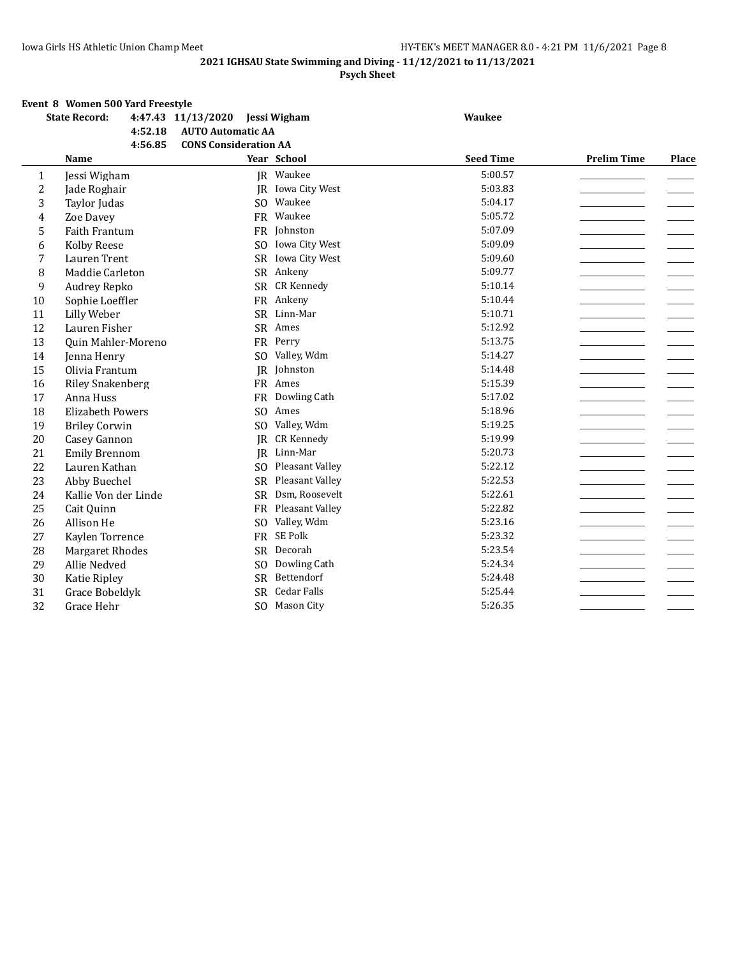#### **Psych Sheet**

#### **Event 8 Women 500 Yard Freestyle**

|                | <b>State Record:</b>    | 4:47.43 11/13/2020 Jessi Wigham |                    | <b>Waukee</b>    |                    |       |
|----------------|-------------------------|---------------------------------|--------------------|------------------|--------------------|-------|
|                | 4:52.18                 | <b>AUTO Automatic AA</b>        |                    |                  |                    |       |
|                | 4:56.85                 | <b>CONS Consideration AA</b>    |                    |                  |                    |       |
|                | Name                    |                                 | Year School        | <b>Seed Time</b> | <b>Prelim Time</b> | Place |
| 1              | Jessi Wigham            |                                 | JR Waukee          | 5:00.57          |                    |       |
| $\overline{2}$ | Jade Roghair            | <b>IR</b>                       | Iowa City West     | 5:03.83          |                    |       |
| 3              | Taylor Judas            |                                 | SO Waukee          | 5:04.17          |                    |       |
| 4              | Zoe Davey               |                                 | FR Waukee          | 5:05.72          |                    |       |
| 5              | <b>Faith Frantum</b>    |                                 | FR Johnston        | 5:07.09          |                    |       |
| 6              | <b>Kolby Reese</b>      | S <sub>O</sub>                  | Iowa City West     | 5:09.09          |                    |       |
| 7              | Lauren Trent            | <b>SR</b>                       | Iowa City West     | 5:09.60          |                    |       |
| 8              | Maddie Carleton         |                                 | SR Ankeny          | 5:09.77          |                    |       |
| 9              | <b>Audrey Repko</b>     |                                 | SR CR Kennedy      | 5:10.14          |                    |       |
| 10             | Sophie Loeffler         | <b>FR</b>                       | Ankeny             | 5:10.44          |                    |       |
| 11             | Lilly Weber             | <b>SR</b>                       | Linn-Mar           | 5:10.71          |                    |       |
| 12             | Lauren Fisher           | <b>SR</b>                       | Ames               | 5:12.92          |                    |       |
| 13             | Quin Mahler-Moreno      | <b>FR</b>                       | Perry              | 5:13.75          |                    |       |
| 14             | Jenna Henry             | S <sub>O</sub>                  | Valley, Wdm        | 5:14.27          |                    |       |
| 15             | Olivia Frantum          | IR                              | Johnston           | 5:14.48          |                    |       |
| 16             | <b>Riley Snakenberg</b> |                                 | FR Ames            | 5:15.39          |                    |       |
| 17             | Anna Huss               | <b>FR</b>                       | Dowling Cath       | 5:17.02          |                    |       |
| 18             | <b>Elizabeth Powers</b> | S <sub>O</sub>                  | Ames               | 5:18.96          |                    |       |
| 19             | <b>Briley Corwin</b>    | S <sub>O</sub>                  | Valley, Wdm        | 5:19.25          |                    |       |
| 20             | Casey Gannon            | IR                              | <b>CR Kennedy</b>  | 5:19.99          |                    |       |
| 21             | <b>Emily Brennom</b>    | IR                              | Linn-Mar           | 5:20.73          |                    |       |
| 22             | Lauren Kathan           | S <sub>O</sub>                  | Pleasant Valley    | 5:22.12          |                    |       |
| 23             | Abby Buechel            | <b>SR</b>                       | Pleasant Valley    | 5:22.53          |                    |       |
| 24             | Kallie Von der Linde    | <b>SR</b>                       | Dsm, Roosevelt     | 5:22.61          |                    |       |
| 25             | Cait Quinn              | <b>FR</b>                       | Pleasant Valley    | 5:22.82          |                    |       |
| 26             | Allison He              | S <sub>O</sub>                  | Valley, Wdm        | 5:23.16          |                    |       |
| 27             | Kaylen Torrence         |                                 | FR SE Polk         | 5:23.32          |                    |       |
| 28             | <b>Margaret Rhodes</b>  | <b>SR</b>                       | Decorah            | 5:23.54          |                    |       |
| 29             | Allie Nedved            | S <sub>O</sub>                  | Dowling Cath       | 5:24.34          |                    |       |
| 30             | Katie Ripley            | <b>SR</b>                       | Bettendorf         | 5:24.48          |                    |       |
| 31             | Grace Bobeldyk          | <b>SR</b>                       | <b>Cedar Falls</b> | 5:25.44          |                    |       |
| 32             | Grace Hehr              |                                 | SO Mason City      | 5:26.35          |                    |       |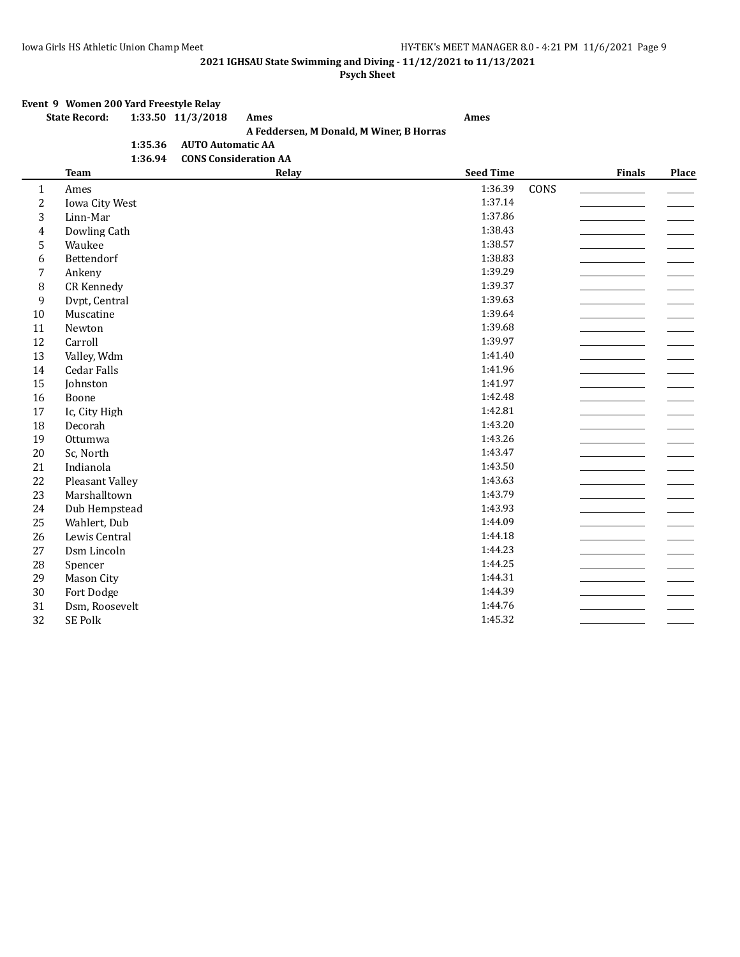#### **Psych Sheet**

### **Event 9 Women 200 Yard Freestyle Relay**

## **State Record: 1:33.50 11/3/2018 Ames Ames**

## **A Feddersen, M Donald, M Winer, B Horras**

**1:35.36 AUTO Automatic AA 1:36.94 CONS Consideration AA**

|                         | <b>Team</b>        | Relay | <b>Seed Time</b> |      | Finals | Place |
|-------------------------|--------------------|-------|------------------|------|--------|-------|
| $\mathbf{1}$            | Ames               |       | 1:36.39          | CONS |        |       |
| 2                       | Iowa City West     |       | 1:37.14          |      |        |       |
| 3                       | Linn-Mar           |       | 1:37.86          |      |        |       |
| $\overline{\mathbf{4}}$ | Dowling Cath       |       | 1:38.43          |      |        |       |
| 5                       | Waukee             |       | 1:38.57          |      |        |       |
| 6                       | Bettendorf         |       | 1:38.83          |      |        |       |
| 7                       | Ankeny             |       | 1:39.29          |      |        |       |
| 8                       | CR Kennedy         |       | 1:39.37          |      |        |       |
| $\mathbf{9}$            | Dvpt, Central      |       | 1:39.63          |      |        |       |
| 10                      | Muscatine          |       | 1:39.64          |      |        |       |
| 11                      | Newton             |       | 1:39.68          |      |        |       |
| 12                      | Carroll            |       | 1:39.97          |      |        |       |
| 13                      | Valley, Wdm        |       | 1:41.40          |      |        |       |
| 14                      | <b>Cedar Falls</b> |       | 1:41.96          |      |        |       |
| 15                      | Johnston           |       | 1:41.97          |      |        |       |
| 16                      | Boone              |       | 1:42.48          |      |        |       |
| 17                      | Ic, City High      |       | 1:42.81          |      |        |       |
| 18                      | Decorah            |       | 1:43.20          |      |        |       |
| 19                      | Ottumwa            |       | 1:43.26          |      |        |       |
| 20                      | Sc, North          |       | 1:43.47          |      |        |       |
| 21                      | Indianola          |       | 1:43.50          |      |        |       |
| 22                      | Pleasant Valley    |       | 1:43.63          |      |        |       |
| 23                      | Marshalltown       |       | 1:43.79          |      |        |       |
| 24                      | Dub Hempstead      |       | 1:43.93          |      |        |       |
| 25                      | Wahlert, Dub       |       | 1:44.09          |      |        |       |
| 26                      | Lewis Central      |       | 1:44.18          |      |        |       |
| 27                      | Dsm Lincoln        |       | 1:44.23          |      |        |       |
| 28                      | Spencer            |       | 1:44.25          |      |        |       |
| 29                      | Mason City         |       | 1:44.31          |      |        |       |
| 30                      | Fort Dodge         |       | 1:44.39          |      |        |       |
| 31                      | Dsm, Roosevelt     |       | 1:44.76          |      |        |       |
| 32                      | SE Polk            |       | 1:45.32          |      |        |       |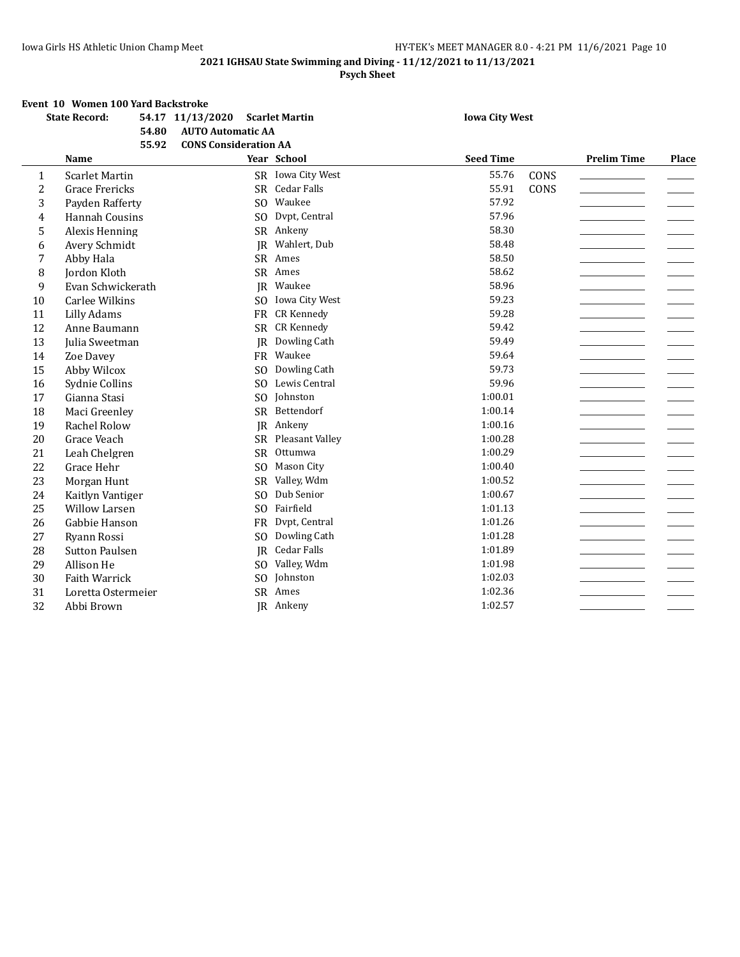#### **Psych Sheet**

#### **Event 10 Women 100 Yard Backstroke**

|                | <b>State Record:</b>  | 54.80 | 54.17 11/13/2020<br><b>AUTO Automatic AA</b> |                | <b>Scarlet Martin</b> | <b>Iowa City West</b> |      |                    |       |
|----------------|-----------------------|-------|----------------------------------------------|----------------|-----------------------|-----------------------|------|--------------------|-------|
|                |                       | 55.92 | <b>CONS Consideration AA</b>                 |                |                       |                       |      |                    |       |
|                | <b>Name</b>           |       |                                              |                | Year School           | <b>Seed Time</b>      |      | <b>Prelim Time</b> | Place |
| 1              | <b>Scarlet Martin</b> |       |                                              |                | SR Iowa City West     | 55.76                 | CONS |                    |       |
| $\overline{c}$ | <b>Grace Frericks</b> |       |                                              | <b>SR</b>      | Cedar Falls           | 55.91                 | CONS |                    |       |
| 3              | Payden Rafferty       |       |                                              | SO             | Waukee                | 57.92                 |      |                    |       |
| $\overline{4}$ | <b>Hannah Cousins</b> |       |                                              | S <sub>O</sub> | Dvpt, Central         | 57.96                 |      |                    |       |
| 5              | Alexis Henning        |       |                                              | <b>SR</b>      | Ankeny                | 58.30                 |      |                    |       |
| 6              | Avery Schmidt         |       |                                              | JR             | Wahlert, Dub          | 58.48                 |      |                    |       |
| 7              | Abby Hala             |       |                                              | <b>SR</b>      | Ames                  | 58.50                 |      |                    |       |
| 8              | <b>Jordon Kloth</b>   |       |                                              | <b>SR</b>      | Ames                  | 58.62                 |      |                    |       |
| 9              | Evan Schwickerath     |       |                                              | IR             | Waukee                | 58.96                 |      |                    |       |
| 10             | <b>Carlee Wilkins</b> |       |                                              | SO.            | Iowa City West        | 59.23                 |      |                    |       |
| 11             | Lilly Adams           |       |                                              | <b>FR</b>      | <b>CR Kennedy</b>     | 59.28                 |      |                    |       |
| 12             | Anne Baumann          |       |                                              | SR             | CR Kennedy            | 59.42                 |      |                    |       |
| 13             | Julia Sweetman        |       |                                              | <b>IR</b>      | Dowling Cath          | 59.49                 |      |                    |       |
| 14             | Zoe Davey             |       |                                              |                | FR Waukee             | 59.64                 |      |                    |       |
| 15             | Abby Wilcox           |       |                                              | S <sub>O</sub> | Dowling Cath          | 59.73                 |      |                    |       |
| 16             | Sydnie Collins        |       |                                              | SO.            | Lewis Central         | 59.96                 |      |                    |       |
| 17             | Gianna Stasi          |       |                                              | S <sub>O</sub> | Iohnston              | 1:00.01               |      |                    |       |
| 18             | Maci Greenley         |       |                                              | SR             | Bettendorf            | 1:00.14               |      |                    |       |
| 19             | Rachel Rolow          |       |                                              | <b>IR</b>      | Ankeny                | 1:00.16               |      |                    |       |
| 20             | Grace Veach           |       |                                              | <b>SR</b>      | Pleasant Valley       | 1:00.28               |      |                    |       |
| 21             | Leah Chelgren         |       |                                              | <b>SR</b>      | Ottumwa               | 1:00.29               |      |                    |       |
| 22             | Grace Hehr            |       |                                              | S <sub>O</sub> | Mason City            | 1:00.40               |      |                    |       |
| 23             | Morgan Hunt           |       |                                              | <b>SR</b>      | Valley, Wdm           | 1:00.52               |      |                    |       |
| 24             | Kaitlyn Vantiger      |       |                                              | S <sub>O</sub> | Dub Senior            | 1:00.67               |      |                    |       |
| 25             | <b>Willow Larsen</b>  |       |                                              | S <sub>O</sub> | Fairfield             | 1:01.13               |      |                    |       |
| 26             | Gabbie Hanson         |       |                                              | <b>FR</b>      | Dvpt, Central         | 1:01.26               |      |                    |       |
| 27             | Ryann Rossi           |       |                                              | SO.            | Dowling Cath          | 1:01.28               |      |                    |       |
| 28             | <b>Sutton Paulsen</b> |       |                                              | <b>IR</b>      | <b>Cedar Falls</b>    | 1:01.89               |      |                    |       |
| 29             | Allison He            |       |                                              | S <sub>O</sub> | Valley, Wdm           | 1:01.98               |      |                    |       |
| 30             | Faith Warrick         |       |                                              | S <sub>O</sub> | Johnston              | 1:02.03               |      |                    |       |
| 31             | Loretta Ostermeier    |       |                                              | SR             | Ames                  | 1:02.36               |      |                    |       |
| 32             | Abbi Brown            |       |                                              |                | JR Ankeny             | 1:02.57               |      |                    |       |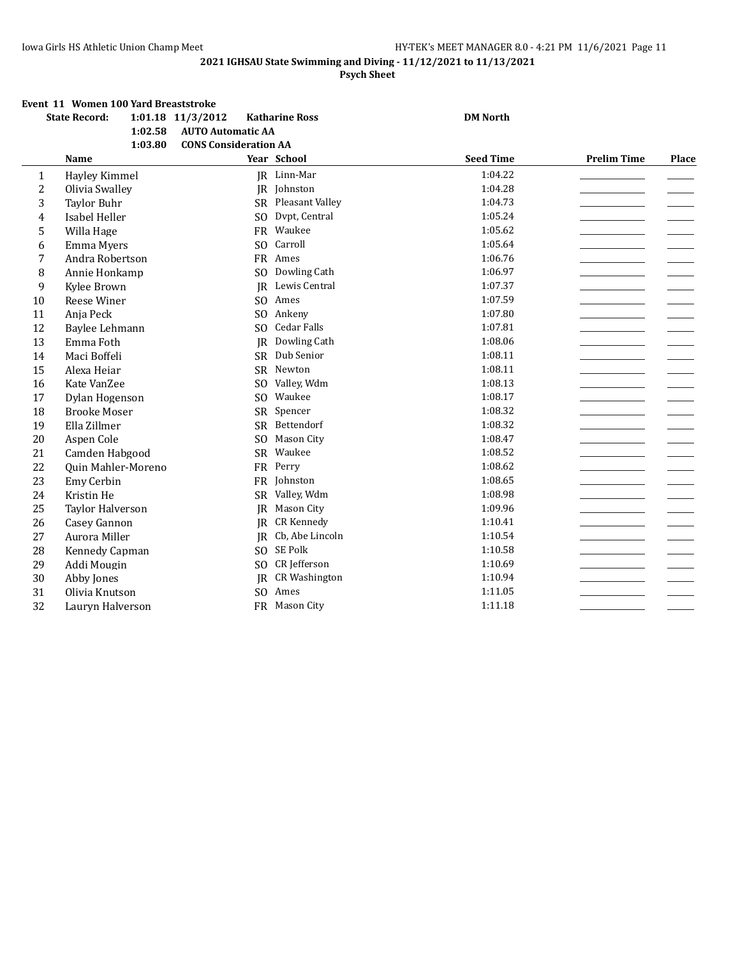#### **Psych Sheet**

|  |  | Event 11 Women 100 Yard Breaststroke |
|--|--|--------------------------------------|
|--|--|--------------------------------------|

|    | <b>State Record:</b>      | 1:01.18 11/3/2012            | <b>Katharine Ross</b> | <b>DM North</b>  |                    |       |
|----|---------------------------|------------------------------|-----------------------|------------------|--------------------|-------|
|    | 1:02.58                   | <b>AUTO Automatic AA</b>     |                       |                  |                    |       |
|    | 1:03.80                   | <b>CONS Consideration AA</b> |                       |                  |                    |       |
|    | <b>Name</b>               |                              | Year School           | <b>Seed Time</b> | <b>Prelim Time</b> | Place |
| 1  | Hayley Kimmel             |                              | JR Linn-Mar           | 1:04.22          |                    |       |
| 2  | Olivia Swalley            |                              | JR Johnston           | 1:04.28          |                    |       |
| 3  | <b>Taylor Buhr</b>        |                              | SR Pleasant Valley    | 1:04.73          |                    |       |
| 4  | Isabel Heller             | SO.                          | Dvpt, Central         | 1:05.24          |                    |       |
| 5  | Willa Hage                |                              | FR Waukee             | 1:05.62          |                    |       |
| 6  | Emma Myers                | S <sub>O</sub>               | Carroll               | 1:05.64          |                    |       |
| 7  | Andra Robertson           |                              | FR Ames               | 1:06.76          |                    |       |
| 8  | Annie Honkamp             | SO.                          | Dowling Cath          | 1:06.97          |                    |       |
| 9  | Kylee Brown               |                              | JR Lewis Central      | 1:07.37          |                    |       |
| 10 | Reese Winer               |                              | SO Ames               | 1:07.59          |                    |       |
| 11 | Anja Peck                 | SO.                          | Ankeny                | 1:07.80          |                    |       |
| 12 | Baylee Lehmann            | S <sub>O</sub>               | <b>Cedar Falls</b>    | 1:07.81          |                    |       |
| 13 | Emma Foth                 | <b>IR</b>                    | Dowling Cath          | 1:08.06          |                    |       |
| 14 | Maci Boffeli              | <b>SR</b>                    | Dub Senior            | 1:08.11          |                    |       |
| 15 | Alexa Heiar               |                              | SR Newton             | 1:08.11          |                    |       |
| 16 | Kate VanZee               | S <sub>O</sub>               | Valley, Wdm           | 1:08.13          |                    |       |
| 17 | Dylan Hogenson            | SO.                          | Waukee                | 1:08.17          |                    |       |
| 18 | <b>Brooke Moser</b>       | <b>SR</b>                    | Spencer               | 1:08.32          |                    |       |
| 19 | Ella Zillmer              | SR                           | Bettendorf            | 1:08.32          |                    |       |
| 20 | Aspen Cole                | S <sub>O</sub>               | Mason City            | 1:08.47          |                    |       |
| 21 | Camden Habgood            | SR                           | Waukee                | 1:08.52          |                    |       |
| 22 | <b>Ouin Mahler-Moreno</b> | <b>FR</b>                    | Perry                 | 1:08.62          |                    |       |
| 23 | Emy Cerbin                |                              | FR Johnston           | 1:08.65          |                    |       |
| 24 | Kristin He                | SR                           | Valley, Wdm           | 1:08.98          |                    |       |
| 25 | Taylor Halverson          | JR                           | Mason City            | 1:09.96          |                    |       |
| 26 | Casey Gannon              | <b>IR</b>                    | <b>CR Kennedy</b>     | 1:10.41          |                    |       |
| 27 | Aurora Miller             | IR                           | Cb, Abe Lincoln       | 1:10.54          |                    |       |
| 28 | Kennedy Capman            | SO.                          | SE Polk               | 1:10.58          |                    |       |
| 29 | Addi Mougin               | S <sub>O</sub>               | CR Jefferson          | 1:10.69          |                    |       |
| 30 | Abby Jones                | IR.                          | <b>CR Washington</b>  | 1:10.94          |                    |       |
| 31 | Olivia Knutson            | S <sub>O</sub>               | Ames                  | 1:11.05          |                    |       |
| 32 | Lauryn Halverson          |                              | FR Mason City         | 1:11.18          |                    |       |